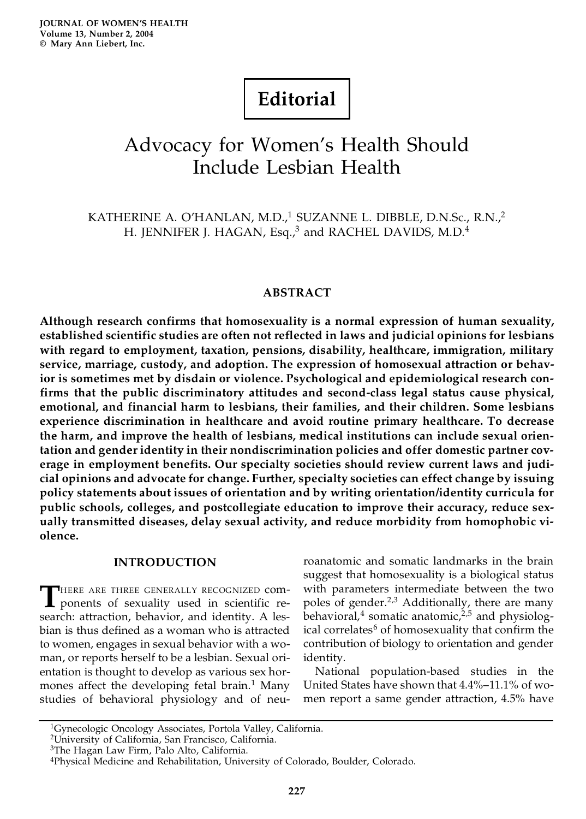# **Editorial**

## Advocacy for Women's Health Should Include Lesbian Health

KATHERINE A. O'HANLAN, M.D.,<sup>1</sup> SUZANNE L. DIBBLE, D.N.Sc., R.N.,<sup>2</sup> H. JENNIFER J. HAGAN, Esq.,<sup>3</sup> and RACHEL DAVIDS, M.D.<sup>4</sup>

## **ABSTRACT**

**Although research confirms that homosexuality is a normal expression of human sexuality, established scientific studies are often not reflected in laws and judicial opinions for lesbians with regard to employment, taxation, pensions, disability, healthcare, immigration, military service, marriage, custody, and adoption. The expression of homosexual attraction or behavior is sometimes met by disdain or violence. Psychological and epidemiological research confirms that the public discriminatory attitudes and second-class legal status cause physical, emotional, and financial harm to lesbians, their families, and their children. Some lesbians experience discrimination in healthcare and avoid routine primary healthcare. To decrease the harm, and improve the health of lesbians, medical institutions can include sexual orientation and gender identity in their nondiscrimination policies and offer domestic partner coverage in employment benefits. Our specialty societies should review current laws and judicial opinions and advocate for change. Further, specialty societies can effect change by issuing policy statements about issues of orientation and by writing orientation/identity curricula for public schools, colleges, and postcollegiate education to improve their accuracy, reduce sexually transmitted diseases, delay sexual activity, and reduce morbidity from homophobic violence.**

## **INTRODUCTION**

THERE ARE THREE GENERALLY RECOGNIZED components of sexuality used in scientific re-HERE ARE THREE GENERALLY RECOGNIZED COMsearch: attraction, behavior, and identity. A lesbian is thus defined as a woman who is attracted to women, engages in sexual behavior with a woman, or reports herself to be a lesbian. Sexual orientation is thought to develop as various sex hormones affect the developing fetal brain.<sup>1</sup> Many studies of behavioral physiology and of neu-

roanatomic and somatic landmarks in the brain suggest that homosexuality is a biological status with parameters intermediate between the two poles of gender. $2,3$  Additionally, there are many behavioral, $4$  somatic anatomic, $2.5$  and physiological correlates<sup>6</sup> of homosexuality that confirm the contribution of biology to orientation and gender identity.

National population-based studies in the United States have shown that 4.4%–11.1% of women report a same gender attraction, 4.5% have

<sup>&</sup>lt;sup>1</sup>Gynecologic Oncology Associates, Portola Valley, California.

<sup>2</sup>University of California, San Francisco, California.

<sup>&</sup>lt;sup>3</sup>The Hagan Law Firm, Palo Alto, California.

<sup>&</sup>lt;sup>4</sup>Physical Medicine and Rehabilitation, University of Colorado, Boulder, Colorado.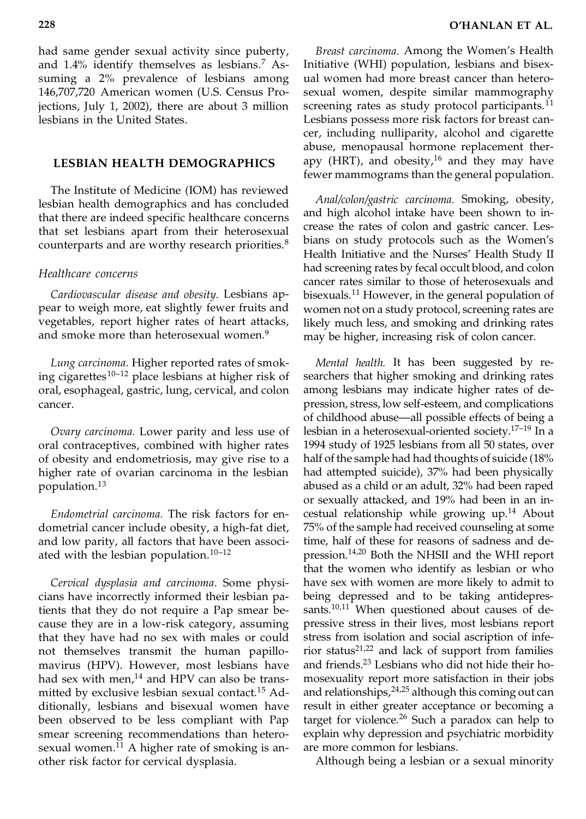suming a 2% prevalence of lesbians among 146,707,720 American women (U.S. Census Projections, July 1, 2002), there are about 3 million lesbians in the United States.

## **LESBIAN HEALTH DEMOGRAPHICS**

The Institute of Medicine (IOM) has reviewed lesbian health demographics and has concluded that there are indeed specific healthcare concerns that set lesbians apart from their heterosexual counterparts and are worthy research priorities. $8$ 

## *Healthcare concerns*

*Cardiovascular disease and obesity.* Lesbians appear to weigh more, eat slightly fewer fruits and vegetables, report higher rates of heart attacks, and smoke more than heterosexual women.<sup>9</sup>

*Lung carcinoma.* Higher reported rates of smoking cigarettes<sup>10–12</sup> place lesbians at higher risk of oral, esophageal, gastric, lung, cervical, and colon cancer.

*Ovary carcinoma.* Lower parity and less use of oral contraceptives, combined with higher rates of obesity and endometriosis, may give rise to a higher rate of ovarian carcinoma in the lesbian population.<sup>13</sup>

*Endometrial carcinoma.* The risk factors for endometrial cancer include obesity, a high-fat diet, and low parity, all factors that have been associated with the lesbian population.<sup>10–12</sup>

*Cervical dysplasia and carcinoma.* Some physicians have incorrectly informed their lesbian patients that they do not require a Pap smear because they are in a low-risk category, assuming that they have had no sex with males or could not themselves transmit the human papillomavirus (HPV). However, most lesbians have had sex with men, $^{14}$  and HPV can also be transmitted by exclusive lesbian sexual contact.<sup>15</sup> Additionally, lesbians and bisexual women have been observed to be less compliant with Pap smear screening recommendations than heterosexual women. $^{11}$  A higher rate of smoking is another risk factor for cervical dysplasia.

*Breast carcinoma.* Among the Women's Health Initiative (WHI) population, lesbians and bisexual women had more breast cancer than heterosexual women, despite similar mammography screening rates as study protocol participants. $^{11}$ Lesbians possess more risk factors for breast cancer, including nulliparity, alcohol and cigarette abuse, menopausal hormone replacement therapy (HRT), and obesity,<sup>16</sup> and they may have fewer mammograms than the general population.

*Anal/colon/gastric carcinoma.* Smoking, obesity, and high alcohol intake have been shown to increase the rates of colon and gastric cancer. Lesbians on study protocols such as the Women's Health Initiative and the Nurses' Health Study II had screening rates by fecal occult blood, and colon cancer rates similar to those of heterosexuals and bisexuals.<sup>11</sup> However, in the general population of women not on a study protocol, screening rates are likely much less, and smoking and drinking rates may be higher, increasing risk of colon cancer.

*Mental health.* It has been suggested by researchers that higher smoking and drinking rates among lesbians may indicate higher rates of depression, stress, low self-esteem, and complications of childhood abuse—all possible effects of being a lesbian in a heterosexual-oriented society.17–19 In a 1994 study of 1925 lesbians from all 50 states, over half of the sample had had thoughts of suicide (18% had attempted suicide), 37% had been physically abused as a child or an adult, 32% had been raped or sexually attacked, and 19% had been in an incestual relationship while growing up.<sup>14</sup> About 75% of the sample had received counseling at some time, half of these for reasons of sadness and depression.14,20 Both the NHSII and the WHI report that the women who identify as lesbian or who have sex with women are more likely to admit to being depressed and to be taking antidepressants.<sup>10,11</sup> When questioned about causes of depressive stress in their lives, most lesbians report stress from isolation and social ascription of inferior status21,22 and lack of support from families and friends.<sup>23</sup> Lesbians who did not hide their homosexuality report more satisfaction in their jobs and relationships,  $24.25$  although this coming out can result in either greater acceptance or becoming a target for violence.<sup>26</sup> Such a paradox can help to explain why depression and psychiatric morbidity are more common for lesbians.

Although being a lesbian or a sexual minority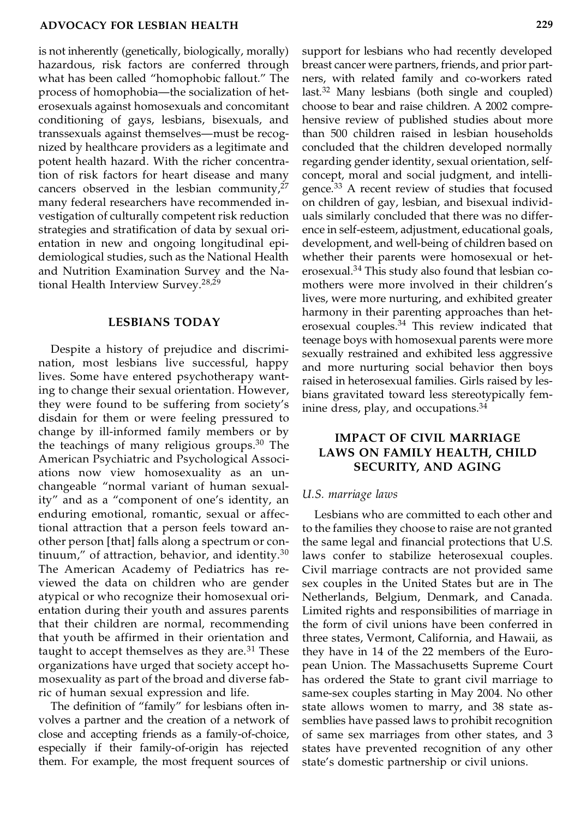is not inherently (genetically, biologically, morally) hazardous, risk factors are conferred through what has been called "homophobic fallout." The process of homophobia—the socialization of heterosexuals against homosexuals and concomitant conditioning of gays, lesbians, bisexuals, and transsexuals against themselves—must be recognized by healthcare providers as a legitimate and potent health hazard. With the richer concentration of risk factors for heart disease and many cancers observed in the lesbian community, $27$ many federal researchers have recommended investigation of culturally competent risk reduction strategies and stratification of data by sexual orientation in new and ongoing longitudinal epidemiological studies, such as the National Health and Nutrition Examination Survey and the National Health Interview Survey.<sup>28,29</sup>

#### **LESBIANS TODAY**

Despite a history of prejudice and discrimination, most lesbians live successful, happy lives. Some have entered psychotherapy wanting to change their sexual orientation. However, they were found to be suffering from society's disdain for them or were feeling pressured to change by ill-informed family members or by the teachings of many religious groups.<sup>30</sup> The American Psychiatric and Psychological Associations now view homosexuality as an unchangeable "normal variant of human sexuality" and as a "component of one's identity, an enduring emotional, romantic, sexual or affectional attraction that a person feels toward another person [that] falls along a spectrum or continuum," of attraction, behavior, and identity. $30$ The American Academy of Pediatrics has reviewed the data on children who are gender atypical or who recognize their homosexual orientation during their youth and assures parents that their children are normal, recommending that youth be affirmed in their orientation and taught to accept themselves as they are. $31$  These organizations have urged that society accept homosexuality as part of the broad and diverse fabric of human sexual expression and life.

The definition of "family" for lesbians often involves a partner and the creation of a network of close and accepting friends as a family-of-choice, especially if their family-of-origin has rejected them. For example, the most frequent sources of

support for lesbians who had recently developed breast cancer were partners, friends, and prior partners, with related family and co-workers rated last.<sup>32</sup> Many lesbians (both single and coupled) choose to bear and raise children. A 2002 comprehensive review of published studies about more than 500 children raised in lesbian households concluded that the children developed normally regarding gender identity, sexual orientation, selfconcept, moral and social judgment, and intelligence.<sup>33</sup> A recent review of studies that focused on children of gay, lesbian, and bisexual individuals similarly concluded that there was no difference in self-esteem, adjustment, educational goals, development, and well-being of children based on whether their parents were homosexual or heterosexual.<sup>34</sup> This study also found that lesbian comothers were more involved in their children's lives, were more nurturing, and exhibited greater harmony in their parenting approaches than heterosexual couples.<sup>34</sup> This review indicated that teenage boys with homosexual parents were more sexually restrained and exhibited less aggressive and more nurturing social behavior then boys raised in heterosexual families. Girls raised by lesbians gravitated toward less stereotypically feminine dress, play, and occupations.<sup>34</sup>

## **IMPACT OF CIVIL MARRIAGE LAWS ON FAMILY HEALTH, CHILD SECURITY, AND AGING**

#### *U.S. marriage laws*

Lesbians who are committed to each other and to the families they choose to raise are not granted the same legal and financial protections that U.S. laws confer to stabilize heterosexual couples. Civil marriage contracts are not provided same sex couples in the United States but are in The Netherlands, Belgium, Denmark, and Canada. Limited rights and responsibilities of marriage in the form of civil unions have been conferred in three states, Vermont, California, and Hawaii, as they have in 14 of the 22 members of the European Union. The Massachusetts Supreme Court has ordered the State to grant civil marriage to same-sex couples starting in May 2004. No other state allows women to marry, and 38 state assemblies have passed laws to prohibit recognition of same sex marriages from other states, and 3 states have prevented recognition of any other state's domestic partnership or civil unions.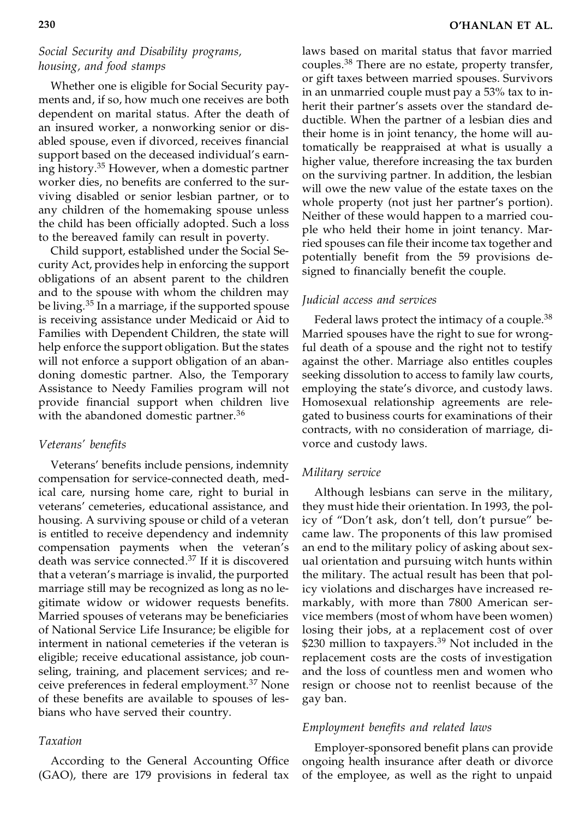## *Social Security and Disability programs, housing, and food stamps*

Whether one is eligible for Social Security payments and, if so, how much one receives are both dependent on marital status. After the death of an insured worker, a nonworking senior or disabled spouse, even if divorced, receives financial support based on the deceased individual's earning history.<sup>35</sup> However, when a domestic partner worker dies, no benefits are conferred to the surviving disabled or senior lesbian partner, or to any children of the homemaking spouse unless the child has been officially adopted. Such a loss to the bereaved family can result in poverty.

Child support, established under the Social Security Act, provides help in enforcing the support obligations of an absent parent to the children and to the spouse with whom the children may be living.<sup>35</sup> In a marriage, if the supported spouse is receiving assistance under Medicaid or Aid to Families with Dependent Children, the state will help enforce the support obligation. But the states will not enforce a support obligation of an abandoning domestic partner. Also, the Temporary Assistance to Needy Families program will not provide financial support when children live with the abandoned domestic partner.<sup>36</sup>

#### *Veterans' benefits*

Veterans' benefits include pensions, indemnity compensation for service-connected death, medical care, nursing home care, right to burial in veterans' cemeteries, educational assistance, and housing. A surviving spouse or child of a veteran is entitled to receive dependency and indemnity compensation payments when the veteran's death was service connected.<sup>37</sup> If it is discovered that a veteran's marriage is invalid, the purported marriage still may be recognized as long as no legitimate widow or widower requests benefits. Married spouses of veterans may be beneficiaries of National Service Life Insurance; be eligible for interment in national cemeteries if the veteran is eligible; receive educational assistance, job counseling, training, and placement services; and receive preferences in federal employment.<sup>37</sup> None of these benefits are available to spouses of lesbians who have served their country.

#### *Taxation*

According to the General Accounting Office (GAO), there are 179 provisions in federal tax laws based on marital status that favor married couples.<sup>38</sup> There are no estate, property transfer, or gift taxes between married spouses. Survivors in an unmarried couple must pay a 53% tax to inherit their partner's assets over the standard deductible. When the partner of a lesbian dies and their home is in joint tenancy, the home will automatically be reappraised at what is usually a higher value, therefore increasing the tax burden on the surviving partner. In addition, the lesbian will owe the new value of the estate taxes on the whole property (not just her partner's portion). Neither of these would happen to a married couple who held their home in joint tenancy. Married spouses can file their income tax together and potentially benefit from the 59 provisions designed to financially benefit the couple.

#### *Judicial access and services*

Federal laws protect the intimacy of a couple.<sup>38</sup> Married spouses have the right to sue for wrongful death of a spouse and the right not to testify against the other. Marriage also entitles couples seeking dissolution to access to family law courts, employing the state's divorce, and custody laws. Homosexual relationship agreements are relegated to business courts for examinations of their contracts, with no consideration of marriage, divorce and custody laws.

#### *Military service*

Although lesbians can serve in the military, they must hide their orientation. In 1993, the policy of "Don't ask, don't tell, don't pursue" became law. The proponents of this law promised an end to the military policy of asking about sexual orientation and pursuing witch hunts within the military. The actual result has been that policy violations and discharges have increased remarkably, with more than 7800 American service members (most of whom have been women) losing their jobs, at a replacement cost of over \$230 million to taxpayers.<sup>39</sup> Not included in the replacement costs are the costs of investigation and the loss of countless men and women who resign or choose not to reenlist because of the gay ban.

## *Employment benefits and related laws*

Employer-sponsored benefit plans can provide ongoing health insurance after death or divorce of the employee, as well as the right to unpaid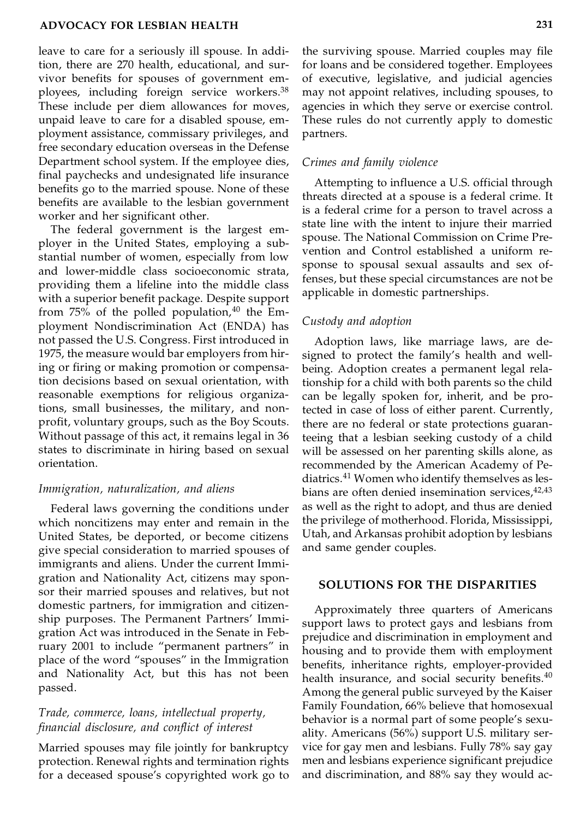## **ADVOCACY FOR LESBIAN HEALTH 231**

leave to care for a seriously ill spouse. In addition, there are 270 health, educational, and survivor benefits for spouses of government employees, including foreign service workers.<sup>38</sup> These include per diem allowances for moves, unpaid leave to care for a disabled spouse, employment assistance, commissary privileges, and free secondary education overseas in the Defense Department school system. If the employee dies, final paychecks and undesignated life insurance benefits go to the married spouse. None of these benefits are available to the lesbian government worker and her significant other.

The federal government is the largest employer in the United States, employing a substantial number of women, especially from low and lower-middle class socioeconomic strata, providing them a lifeline into the middle class with a superior benefit package. Despite support from 75% of the polled population,  $40$  the Employment Nondiscrimination Act (ENDA) has not passed the U.S. Congress. First introduced in 1975, the measure would bar employers from hiring or firing or making promotion or compensation decisions based on sexual orientation, with reasonable exemptions for religious organizations, small businesses, the military, and nonprofit, voluntary groups, such as the Boy Scouts. Without passage of this act, it remains legal in 36 states to discriminate in hiring based on sexual orientation.

#### *Immigration, naturalization, and aliens*

Federal laws governing the conditions under which noncitizens may enter and remain in the United States, be deported, or become citizens give special consideration to married spouses of immigrants and aliens. Under the current Immigration and Nationality Act, citizens may sponsor their married spouses and relatives, but not domestic partners, for immigration and citizenship purposes. The Permanent Partners' Immigration Act was introduced in the Senate in February 2001 to include "permanent partners" in place of the word "spouses" in the Immigration and Nationality Act, but this has not been passed.

## *Trade, commerce, loans, intellectual property, financial disclosure, and conflict of interest*

Married spouses may file jointly for bankruptcy protection. Renewal rights and termination rights for a deceased spouse's copyrighted work go to

the surviving spouse. Married couples may file for loans and be considered together. Employees of executive, legislative, and judicial agencies may not appoint relatives, including spouses, to agencies in which they serve or exercise control. These rules do not currently apply to domestic partners.

#### *Crimes and family violence*

Attempting to influence a U.S. official through threats directed at a spouse is a federal crime. It is a federal crime for a person to travel across a state line with the intent to injure their married spouse. The National Commission on Crime Prevention and Control established a uniform response to spousal sexual assaults and sex offenses, but these special circumstances are not be applicable in domestic partnerships.

#### *Custody and adoption*

Adoption laws, like marriage laws, are designed to protect the family's health and wellbeing. Adoption creates a permanent legal relationship for a child with both parents so the child can be legally spoken for, inherit, and be protected in case of loss of either parent. Currently, there are no federal or state protections guaranteeing that a lesbian seeking custody of a child will be assessed on her parenting skills alone, as recommended by the American Academy of Pediatrics.<sup>41</sup> Women who identify themselves as lesbians are often denied insemination services,  $42,43$ as well as the right to adopt, and thus are denied the privilege of motherhood. Florida, Mississippi, Utah, and Arkansas prohibit adoption by lesbians and same gender couples.

## **SOLUTIONS FOR THE DISPARITIES**

Approximately three quarters of Americans support laws to protect gays and lesbians from prejudice and discrimination in employment and housing and to provide them with employment benefits, inheritance rights, employer-provided health insurance, and social security benefits.<sup>40</sup> Among the general public surveyed by the Kaiser Family Foundation, 66% believe that homosexual behavior is a normal part of some people's sexuality. Americans (56%) support U.S. military service for gay men and lesbians. Fully 78% say gay men and lesbians experience significant prejudice and discrimination, and 88% say they would ac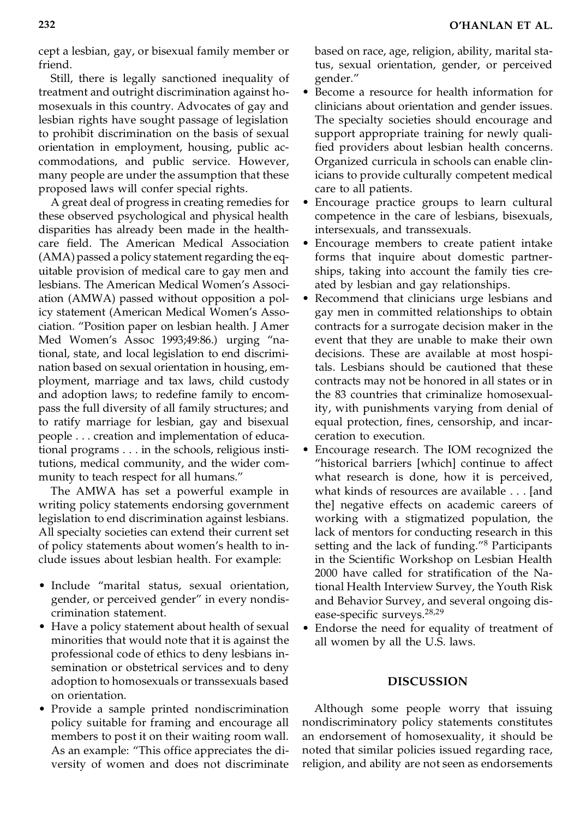cept a lesbian, gay, or bisexual family member or friend.

Still, there is legally sanctioned inequality of treatment and outright discrimination against homosexuals in this country. Advocates of gay and lesbian rights have sought passage of legislation to prohibit discrimination on the basis of sexual orientation in employment, housing, public accommodations, and public service. However, many people are under the assumption that these proposed laws will confer special rights.

A great deal of progress in creating remedies for these observed psychological and physical health disparities has already been made in the healthcare field. The American Medical Association (AMA) passed a policy statement regarding the equitable provision of medical care to gay men and lesbians. The American Medical Women's Association (AMWA) passed without opposition a policy statement (American Medical Women's Association. "Position paper on lesbian health. J Amer Med Women's Assoc 1993;49:86.) urging "national, state, and local legislation to end discrimination based on sexual orientation in housing, employment, marriage and tax laws, child custody and adoption laws; to redefine family to encompass the full diversity of all family structures; and to ratify marriage for lesbian, gay and bisexual people . . . creation and implementation of educational programs . . . in the schools, religious institutions, medical community, and the wider community to teach respect for all humans."

The AMWA has set a powerful example in writing policy statements endorsing government legislation to end discrimination against lesbians. All specialty societies can extend their current set of policy statements about women's health to include issues about lesbian health. For example:

- Include "marital status, sexual orientation, gender, or perceived gender" in every nondiscrimination statement.
- Have a policy statement about health of sexual minorities that would note that it is against the professional code of ethics to deny lesbians insemination or obstetrical services and to deny adoption to homosexuals or transsexuals based on orientation.
- Provide a sample printed nondiscrimination policy suitable for framing and encourage all members to post it on their waiting room wall. As an example: "This office appreciates the diversity of women and does not discriminate

based on race, age, religion, ability, marital status, sexual orientation, gender, or perceived gender."

- Become a resource for health information for clinicians about orientation and gender issues. The specialty societies should encourage and support appropriate training for newly qualified providers about lesbian health concerns. Organized curricula in schools can enable clinicians to provide culturally competent medical care to all patients.
- Encourage practice groups to learn cultural competence in the care of lesbians, bisexuals, intersexuals, and transsexuals.
- Encourage members to create patient intake forms that inquire about domestic partnerships, taking into account the family ties created by lesbian and gay relationships.
- Recommend that clinicians urge lesbians and gay men in committed relationships to obtain contracts for a surrogate decision maker in the event that they are unable to make their own decisions. These are available at most hospitals. Lesbians should be cautioned that these contracts may not be honored in all states or in the 83 countries that criminalize homosexuality, with punishments varying from denial of equal protection, fines, censorship, and incarceration to execution.
- Encourage research. The IOM recognized the "historical barriers [which] continue to affect what research is done, how it is perceived, what kinds of resources are available . . . [and the] negative effects on academic careers of working with a stigmatized population, the lack of mentors for conducting research in this setting and the lack of funding."<sup>8</sup> Participants in the Scientific Workshop on Lesbian Health 2000 have called for stratification of the National Health Interview Survey, the Youth Risk and Behavior Survey, and several ongoing disease-specific surveys.28,29
- Endorse the need for equality of treatment of all women by all the U.S. laws.

#### **DISCUSSION**

Although some people worry that issuing nondiscriminatory policy statements constitutes an endorsement of homosexuality, it should be noted that similar policies issued regarding race, religion, and ability are not seen as endorsements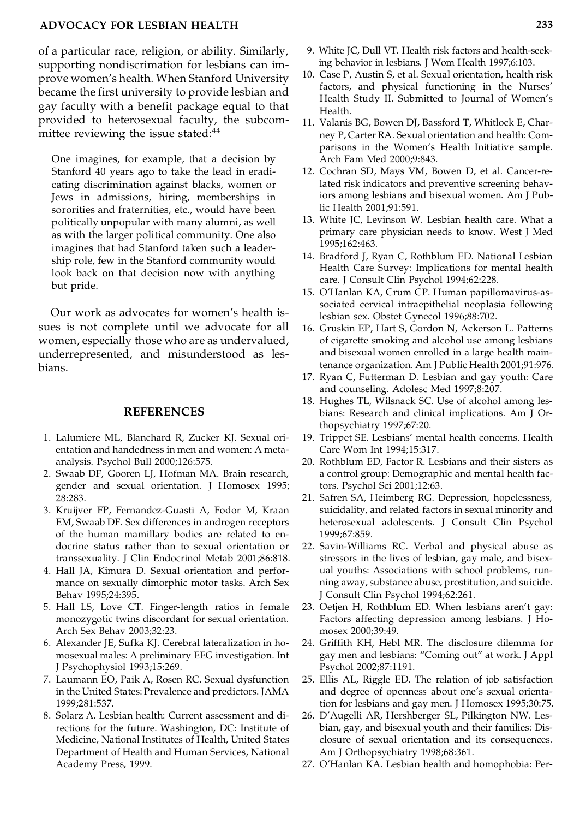## **ADVOCACY FOR LESBIAN HEALTH 233**

of a particular race, religion, or ability. Similarly, supporting nondiscrimation for lesbians can improve women's health. When Stanford University became the first university to provide lesbian and gay faculty with a benefit package equal to that provided to heterosexual faculty, the subcommittee reviewing the issue stated:<sup>44</sup>

One imagines, for example, that a decision by Stanford 40 years ago to take the lead in eradicating discrimination against blacks, women or Jews in admissions, hiring, memberships in sororities and fraternities, etc., would have been politically unpopular with many alumni, as well as with the larger political community. One also imagines that had Stanford taken such a leadership role, few in the Stanford community would look back on that decision now with anything but pride.

Our work as advocates for women's health issues is not complete until we advocate for all women, especially those who are as undervalued, underrepresented, and misunderstood as lesbians.

#### **REFERENCES**

- 1. Lalumiere ML, Blanchard R, Zucker KJ. Sexual orientation and handedness in men and women: A metaanalysis. Psychol Bull 2000;126:575.
- 2. Swaab DF, Gooren LJ, Hofman MA. Brain research, gender and sexual orientation. J Homosex 1995; 28:283.
- 3. Kruijver FP, Fernandez-Guasti A, Fodor M, Kraan EM, Swaab DF. Sex differences in androgen receptors of the human mamillary bodies are related to en docrine status rather than to sexual orientation or transsexuality. J Clin Endocrinol Metab 2001;86:818.
- 4. Hall JA, Kimura D. Sexual orientation and perfor mance on sexually dimorphic motor tasks. Arch Sex Behav 1995;24:395.
- 5. Hall LS, Love CT. Finger-length ratios in female monozygotic twins discordant for sexual orientation. Arch Sex Behav 2003;32:23.
- 6. Alexander JE, Sufka KJ. Cerebral lateralization in homosexual males: A preliminary EEG investigation. Int J Psychophysiol 1993;15:269.
- 7. Laumann EO, Paik A, Rosen RC. Sexual dysfunction in the United States: Prevalence and predictors. JAMA 1999;281:537.
- 8. Solarz A. Lesbian health: Current assessment and directions for the future. Washington, DC: Institute of Medicine, National Institutes of Health, United States Department of Health and Human Services, National Academy Press, 1999.
- 9. White JC, Dull VT. Health risk factors and health-seeking behavior in lesbians. J Wom Health 1997;6:103.
- 10. Case P, Austin S, et al. Sexual orientation, health risk factors, and physical functioning in the Nurses' Health Study II. Submitted to Journal of Women's Health.
- 11. Valanis BG, Bowen DJ, Bassford T, Whitlock E, Charney P, Carter RA. Sexual orientation and health: Comparisons in the Women's Health Initiative sample. Arch Fam Med 2000;9:843.
- 12. Cochran SD, Mays VM, Bowen D, et al. Cancer-related risk indicators and preventive screening behaviors among lesbians and bisexual women. Am J Public Health 2001;91:591.
- 13. White JC, Levinson W. Lesbian health care. What a primary care physician needs to know. West J Med 1995;162:463.
- 14. Bradford J, Ryan C, Rothblum ED. National Lesbian Health Care Survey: Implications for mental health care. J Consult Clin Psychol 1994;62:228.
- 15. O'Hanlan KA, Crum CP. Human papillomavirus-associated cervical intraepithelial neoplasia following lesbian sex. Obstet Gynecol 1996;88:702.
- 16. Gruskin EP, Hart S, Gordon N, Ackerson L. Patterns of cigarette smoking and alcohol use among lesbians and bisexual women enrolled in a large health maintenance organization. Am J Public Health 2001;91:976.
- 17. Ryan C, Futterman D. Lesbian and gay youth: Care and counseling. Adolesc Med 1997;8:207.
- 18. Hughes TL, Wilsnack SC. Use of alcohol among lesbians: Research and clinical implications. Am J Orthopsychiatry 1997;67:20.
- 19. Trippet SE. Lesbians' mental health concerns. Health Care Wom Int 1994;15:317.
- 20. Rothblum ED, Factor R. Lesbians and their sisters as a control group: Demographic and mental health factors. Psychol Sci 2001;12:63.
- 21. Safren SA, Heimberg RG. Depression, hopelessness, suicidality, and related factors in sexual minority and heterosexual adolescents. J Consult Clin Psychol 1999;67:859.
- 22. Savin-Williams RC. Verbal and physical abuse as stressors in the lives of lesbian, gay male, and bisexual youths: Associations with school problems, run ning away, substance abuse, prostitution, and suicide. J Consult Clin Psychol 1994;62:261.
- 23. Oetjen H, Rothblum ED. When lesbians aren't gay: Factors affecting depression among lesbians. J Ho mosex 2000;39:49.
- 24. Griffith KH, Hebl MR. The disclosure dilemma for gay men and lesbians: "Coming out" at work. J Appl Psychol 2002;87:1191.
- 25. Ellis AL, Riggle ED. The relation of job satisfaction and degree of openness about one's sexual orientation for lesbians and gay men. J Homosex 1995;30:75.
- 26. D'Augelli AR, Hershberger SL, Pilkington NW. Lesbian, gay, and bisexual youth and their families: Disclosure of sexual orientation and its consequences. Am J Orthopsychiatry 1998;68:361.
- 27. O'Hanlan KA. Lesbian health and homophobia: Per-